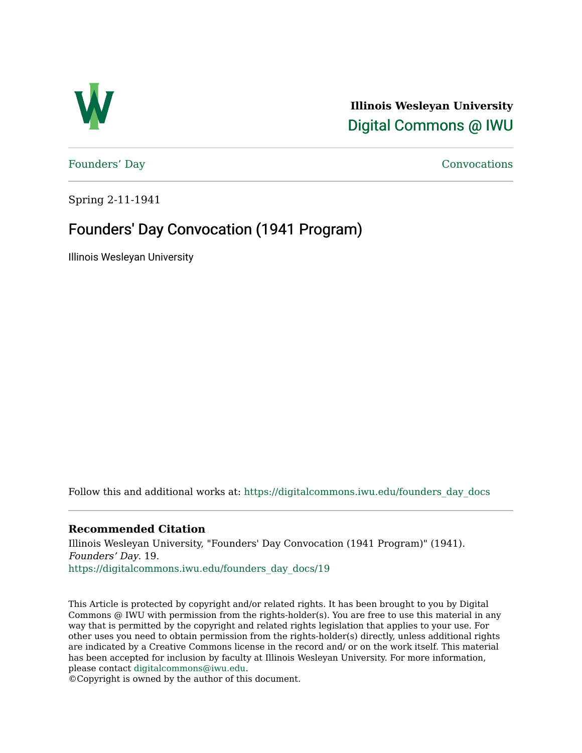

**Illinois Wesleyan University**  [Digital Commons @ IWU](https://digitalcommons.iwu.edu/) 

[Founders' Day](https://digitalcommons.iwu.edu/founders_day_docs) [Convocations](https://digitalcommons.iwu.edu/convocations_docs) 

Spring 2-11-1941

## Founders' Day Convocation (1941 Program)

Illinois Wesleyan University

Follow this and additional works at: [https://digitalcommons.iwu.edu/founders\\_day\\_docs](https://digitalcommons.iwu.edu/founders_day_docs?utm_source=digitalcommons.iwu.edu%2Ffounders_day_docs%2F19&utm_medium=PDF&utm_campaign=PDFCoverPages) 

## **Recommended Citation**

Illinois Wesleyan University, "Founders' Day Convocation (1941 Program)" (1941). Founders' Day. 19. [https://digitalcommons.iwu.edu/founders\\_day\\_docs/19](https://digitalcommons.iwu.edu/founders_day_docs/19?utm_source=digitalcommons.iwu.edu%2Ffounders_day_docs%2F19&utm_medium=PDF&utm_campaign=PDFCoverPages)

This Article is protected by copyright and/or related rights. It has been brought to you by Digital Commons @ IWU with permission from the rights-holder(s). You are free to use this material in any way that is permitted by the copyright and related rights legislation that applies to your use. For other uses you need to obtain permission from the rights-holder(s) directly, unless additional rights are indicated by a Creative Commons license in the record and/ or on the work itself. This material has been accepted for inclusion by faculty at Illinois Wesleyan University. For more information, please contact [digitalcommons@iwu.edu.](mailto:digitalcommons@iwu.edu)

©Copyright is owned by the author of this document.